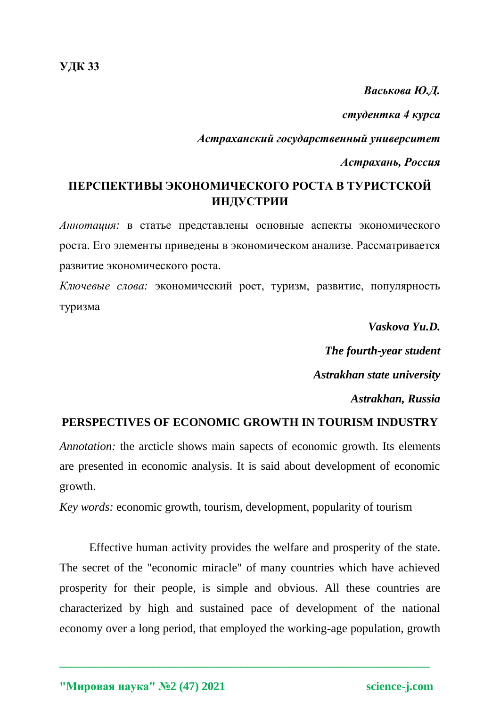**УДК 33**

*Васькова Ю.Д.*

*студентка 4 курса*

*Астраханский государственный университет*

*Астрахань, Россия*

# **ПЕРСПЕКТИВЫ ЭКОНОМИЧЕСКОГО РОСТА В ТУРИСТСКОЙ ИНДУСТРИИ**

*Аннотация:* в статье представлены основные аспекты экономического роста. Его элементы приведены в экономическом анализе. Рассматривается развитие экономического роста.

*Ключевые слова:* экономический рост, туризм, развитие, популярность туризма

*Vaskova Yu.D.*

*The fourth-year student*

*Astrakhan state university*

*Astrakhan, Russia*

## **PERSPECTIVES OF ECONOMIC GROWTH IN TOURISM INDUSTRY**

*Annotation:* the arcticle shows main sapects of economic growth. Its elements are presented in economic analysis. It is said about development of economic growth.

*Key words:* economic growth, tourism, development, popularity of tourism

Effective human activity provides the welfare and prosperity of the state. The secret of the "economic miracle" of many countries which have achieved prosperity for their people, is simple and obvious. All these countries are characterized by high and sustained pace of development of the national economy over a long period, that employed the working-age population, growth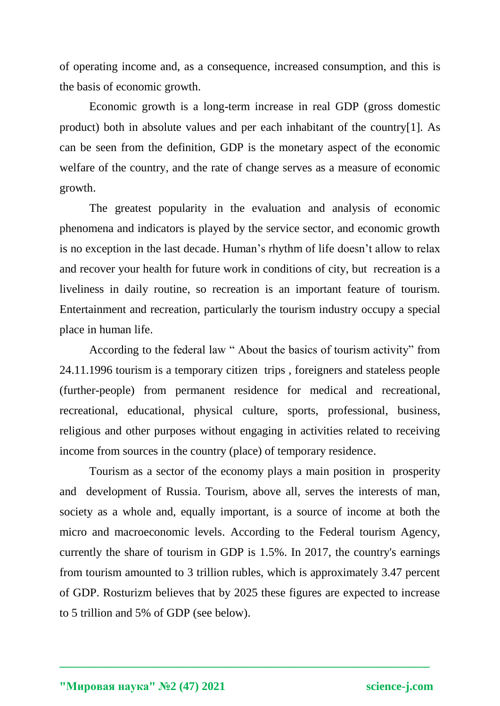of operating income and, as a consequence, increased consumption, and this is the basis of economic growth.

Economic growth is a long-term increase in real GDP (gross [domestic](https://www.babla.ru/%D0%B0%D0%BD%D0%B3%D0%BB%D0%B8%D0%B9%D1%81%D0%BA%D0%B8%D0%B9-%D1%80%D1%83%D1%81%D1%81%D0%BA%D0%B8%D0%B9/gross-domestic-product)  [product\)](https://www.babla.ru/%D0%B0%D0%BD%D0%B3%D0%BB%D0%B8%D0%B9%D1%81%D0%BA%D0%B8%D0%B9-%D1%80%D1%83%D1%81%D1%81%D0%BA%D0%B8%D0%B9/gross-domestic-product) both in absolute values and per each inhabitant of the country[1]. As can be seen from the definition, GDP is the monetary aspect of the economic welfare of the country, and the rate of change serves as a measure of economic growth.

The greatest popularity in the evaluation and analysis of economic phenomena and indicators is played by the service sector, and economic growth is no exception in the last decade. Human's rhythm of life doesn't allow to relax and recover your health for future work in conditions of city, but recreation is a liveliness in daily routine, so recreation is an important feature of tourism. Entertainment and recreation, particularly the tourism industry occupy a special place in human life.

According to the federal law " About the basics of tourism activity" from 24.11.1996 tourism is a temporary citizen trips , foreigners and stateless people (further-people) from permanent residence for medical and recreational, recreational, educational, physical culture, sports, professional, business, religious and other purposes without engaging in activities related to receiving income from sources in the country (place) of temporary residence.

Tourism as a sector of the economy plays a main position in prosperity and development of Russia. Tourism, above all, serves the interests of man, society as a whole and, equally important, is a source of income at both the micro and macroeconomic levels. According to the Federal tourism Agency, currently the share of tourism in GDP is 1.5%. In 2017, the country's earnings from tourism amounted to 3 trillion rubles, which is approximately 3.47 percent of GDP. Rosturizm believes that by 2025 these figures are expected to increase to 5 trillion and 5% of GDP (see below).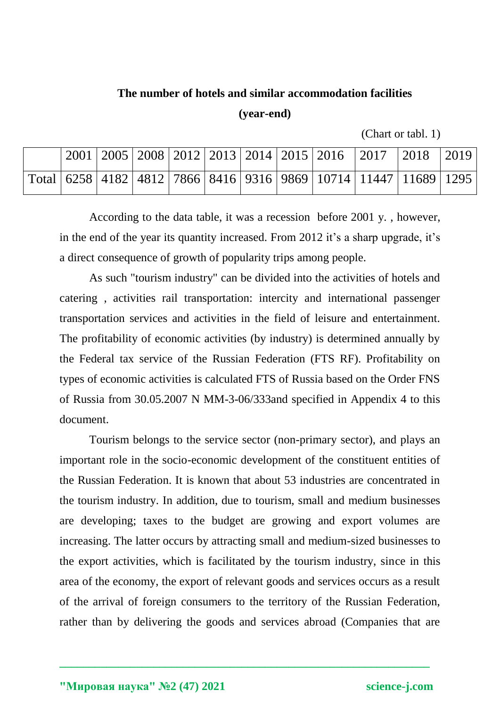#### **The number of hotels and similar accommodation facilities**

#### **(year-end)**

(Chart or tabl. 1)

|  |  |  |  | $\vert 2001 \vert 2005 \vert 2008 \vert 2012 \vert 2013 \vert 2014 \vert 2015 \vert 2016$ $\vert 2017 \vert 2018$ |                                                                                       | $ 2019\rangle$ |
|--|--|--|--|-------------------------------------------------------------------------------------------------------------------|---------------------------------------------------------------------------------------|----------------|
|  |  |  |  |                                                                                                                   | Total   6258   4182   4812   7866   8416   9316   9869   10714   11447   11689   1295 |                |

According to the data table, it was a recession before 2001 y. , however, in the end of the year its quantity increased. From 2012 it's a sharp upgrade, it's a direct consequence of growth of popularity trips among people.

As such "tourism industry" can be divided into the activities of hotels and catering , activities rail transportation: intercity and international passenger transportation services and activities in the field of leisure and entertainment. The profitability of economic activities (by industry) is determined annually by the Federal tax service of the Russian Federation (FTS RF). Profitability on types of economic activities is calculated FTS of Russia based on the Order FNS of Russia from 30.05.2007 N MM-3-06/333and specified in Appendix 4 to this document.

Tourism belongs to the service sector (non-primary sector), and plays an important role in the socio-economic development of the constituent entities of the Russian Federation. It is known that about 53 industries are concentrated in the tourism industry. In addition, due to tourism, small and medium businesses are developing; taxes to the budget are growing and export volumes are increasing. The latter occurs by attracting small and medium-sized businesses to the export activities, which is facilitated by the tourism industry, since in this area of the economy, the export of relevant goods and services occurs as a result of the arrival of foreign consumers to the territory of the Russian Federation, rather than by delivering the goods and services abroad (Companies that are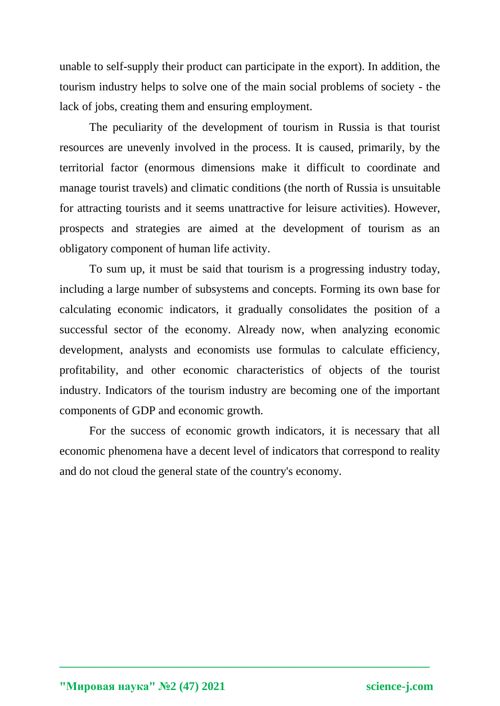unable to self-supply their product can participate in the export). In addition, the tourism industry helps to solve one of the main social problems of society - the lack of jobs, creating them and ensuring employment.

The peculiarity of the development of tourism in Russia is that tourist resources are unevenly involved in the process. It is caused, primarily, by the territorial factor (enormous dimensions make it difficult to coordinate and manage tourist travels) and climatic conditions (the north of Russia is unsuitable for attracting tourists and it seems unattractive for leisure activities). However, prospects and strategies are aimed at the development of tourism as an obligatory component of human life activity.

To sum up, it must be said that tourism is a progressing industry today, including a large number of subsystems and concepts. Forming its own base for calculating economic indicators, it gradually consolidates the position of a successful sector of the economy. Already now, when analyzing economic development, analysts and economists use formulas to calculate efficiency, profitability, and other economic characteristics of objects of the tourist industry. Indicators of the tourism industry are becoming one of the important components of GDP and economic growth.

For the success of economic growth indicators, it is necessary that all economic phenomena have a decent level of indicators that correspond to reality and do not cloud the general state of the country's economy.